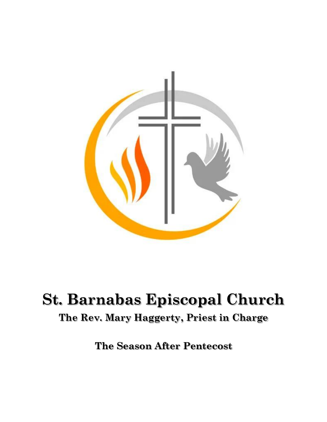

# **St. Barnabas Episcopal Church**

# **The Rev. Mary Haggerty, Priest in Charge**

**The Season After Pentecost**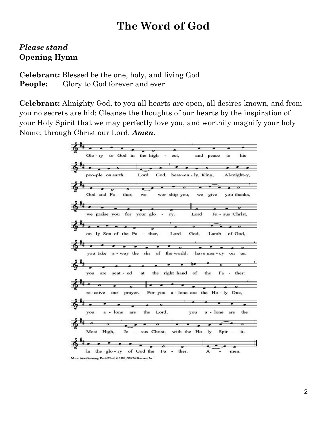# **The Word of God**

# *Please stand* **Opening Hymn**

**Celebrant:** Blessed be the one, holy, and living God **People:** Glory to God forever and ever

**Celebrant:** Almighty God, to you all hearts are open, all desires known, and from you no secrets are hid: Cleanse the thoughts of our hearts by the inspiration of your Holy Spirit that we may perfectly love you, and worthily magnify your holy Name; through Christ our Lord. *Amen.*

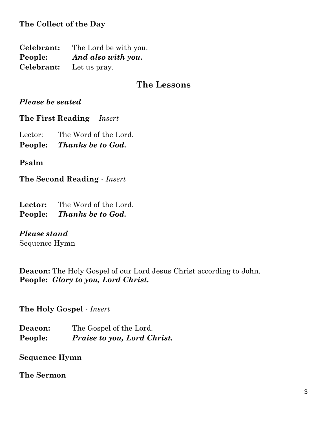**The Collect of the Day**

**Celebrant:** The Lord be with you. **People:** *And also with you.* **Celebrant:** Let us pray.

## **The Lessons**

#### *Please be seated*

**The First Reading** *- Insert*

Lector: The Word of the Lord.

**People:** *Thanks be to God.*

**Psalm**

**The Second Reading** *- Insert*

**Lector:** The Word of the Lord. **People:** *Thanks be to God.*

#### *Please stand*

Sequence Hymn

**Deacon:** The Holy Gospel of our Lord Jesus Christ according to John. **People:** *Glory to you, Lord Christ.*

**The Holy Gospel** *- Insert*

**Deacon:** The Gospel of the Lord. **People:** *Praise to you, Lord Christ.*

**Sequence Hymn**

**The Sermon**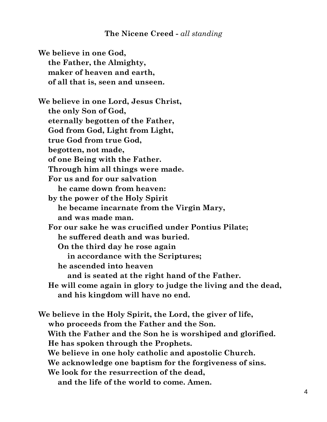#### **The Nicene Creed -** *all standing*

**We believe in one God, the Father, the Almighty, maker of heaven and earth, of all that is, seen and unseen. We believe in one Lord, Jesus Christ, the only Son of God, eternally begotten of the Father, God from God, Light from Light, true God from true God, begotten, not made, of one Being with the Father. Through him all things were made. For us and for our salvation he came down from heaven: by the power of the Holy Spirit he became incarnate from the Virgin Mary, and was made man. For our sake he was crucified under Pontius Pilate; he suffered death and was buried. On the third day he rose again in accordance with the Scriptures; he ascended into heaven and is seated at the right hand of the Father. He will come again in glory to judge the living and the dead, and his kingdom will have no end.**

**We believe in the Holy Spirit, the Lord, the giver of life, who proceeds from the Father and the Son. With the Father and the Son he is worshiped and glorified. He has spoken through the Prophets. We believe in one holy catholic and apostolic Church. We acknowledge one baptism for the forgiveness of sins. We look for the resurrection of the dead, and the life of the world to come. Amen.**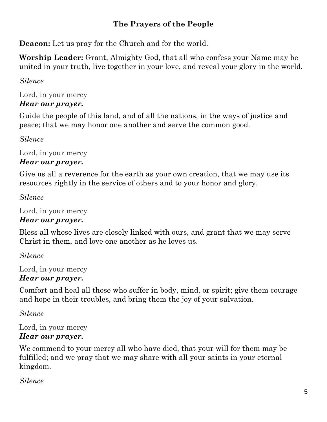# **The Prayers of the People**

**Deacon:** Let us pray for the Church and for the world.

**Worship Leader:** Grant, Almighty God, that all who confess your Name may be united in your truth, live together in your love, and reveal your glory in the world.

# *Silence*

Lord, in your mercy *Hear our prayer.*

Guide the people of this land, and of all the nations, in the ways of justice and peace; that we may honor one another and serve the common good.

*Silence*

Lord, in your mercy *Hear our prayer.*

Give us all a reverence for the earth as your own creation, that we may use its resources rightly in the service of others and to your honor and glory.

*Silence*

Lord, in your mercy

# *Hear our prayer.*

Bless all whose lives are closely linked with ours, and grant that we may serve Christ in them, and love one another as he loves us.

*Silence*

Lord, in your mercy *Hear our prayer.*

Comfort and heal all those who suffer in body, mind, or spirit; give them courage and hope in their troubles, and bring them the joy of your salvation.

*Silence*

Lord, in your mercy *Hear our prayer.*

We commend to your mercy all who have died, that your will for them may be fulfilled; and we pray that we may share with all your saints in your eternal kingdom.

*Silence*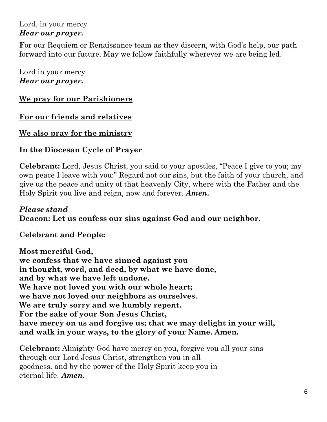#### Lord, in your mercy *Hear our prayer.*

**F**or our Requiem or Renaissance team as they discern, with God's help, our path forward into our future. May we follow faithfully wherever we are being led.

Lord in your mercy *Hear our prayer.*

#### **We pray for our Parishioners**

**For our friends and relatives**

#### **We also pray for the ministry**

#### **In the Diocesan Cycle of Prayer**

**Celebrant:** Lord, Jesus Christ, you said to your apostles, "Peace I give to you; my own peace I leave with you:" Regard not our sins, but the faith of your church, and give us the peace and unity of that heavenly City, where with the Father and the Holy Spirit you live and reign, now and forever. *Amen.*

#### *Please stand*  **Deacon: Let us confess our sins against God and our neighbor.**

**Celebrant and People:**

**Most merciful God, we confess that we have sinned against you in thought, word, and deed, by what we have done, and by what we have left undone. We have not loved you with our whole heart; we have not loved our neighbors as ourselves. We are truly sorry and we humbly repent. For the sake of your Son Jesus Christ, have mercy on us and forgive us; that we may delight in your will, and walk in your ways, to the glory of your Name. Amen.**

**Celebrant:** Almighty God have mercy on you, forgive you all your sins through our Lord Jesus Christ, strengthen you in all goodness, and by the power of the Holy Spirit keep you in eternal life. *Amen.*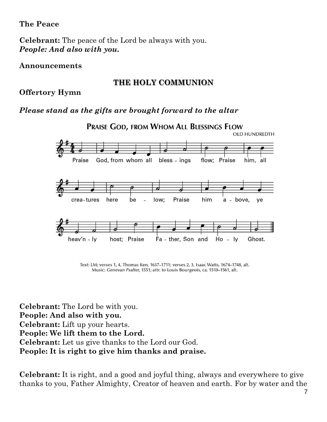#### **The Peace**

**Celebrant:** The peace of the Lord be always with you. *People: And also with you.*

#### **Announcements**

#### **THE HOLY COMMUNION**

**Offertory Hymn**

## *Please stand as the gifts are brought forward to the altar*



Text: LM; verses 1, 4, Thomas Ken, 1637-1711; verses 2, 3, Isaac Watts, 1674-1748, alt. Music: Genevan Psalter, 1551; attr. to Louis Bourgeois, ca. 1510-1561, alt.

**Celebrant:** The Lord be with you. **People: And also with you. Celebrant:** Lift up your hearts. **People: We lift them to the Lord. Celebrant:** Let us give thanks to the Lord our God. **People: It is right to give him thanks and praise.**

**Celebrant:** It is right, and a good and joyful thing, always and everywhere to give thanks to you, Father Almighty, Creator of heaven and earth. For by water and the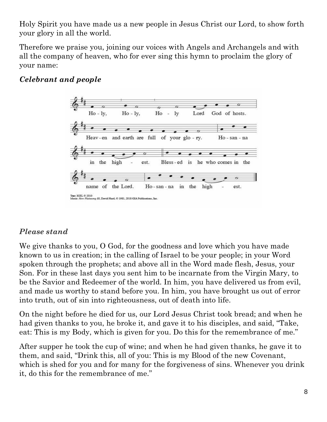Holy Spirit you have made us a new people in Jesus Christ our Lord, to show forth your glory in all the world.

Therefore we praise you, joining our voices with Angels and Archangels and with all the company of heaven, who for ever sing this hymn to proclaim the glory of your name:

# *Celebrant and people*



#### *Please stand*

We give thanks to you, O God, for the goodness and love which you have made known to us in creation; in the calling of Israel to be your people; in your Word spoken through the prophets; and above all in the Word made flesh, Jesus, your Son. For in these last days you sent him to be incarnate from the Virgin Mary, to be the Savior and Redeemer of the world. In him, you have delivered us from evil, and made us worthy to stand before you. In him, you have brought us out of error into truth, out of sin into righteousness, out of death into life.

On the night before he died for us, our Lord Jesus Christ took bread; and when he had given thanks to you, he broke it, and gave it to his disciples, and said, "Take, eat: This is my Body, which is given for you. Do this for the remembrance of me."

After supper he took the cup of wine; and when he had given thanks, he gave it to them, and said, "Drink this, all of you: This is my Blood of the new Covenant, which is shed for you and for many for the forgiveness of sins. Whenever you drink it, do this for the remembrance of me."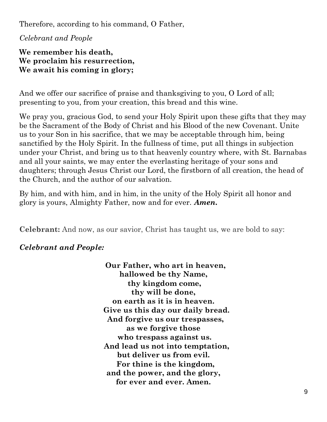Therefore, according to his command, O Father,

*Celebrant and People*

**We remember his death, We proclaim his resurrection, We await his coming in glory;**

And we offer our sacrifice of praise and thanksgiving to you, O Lord of all; presenting to you, from your creation, this bread and this wine.

We pray you, gracious God, to send your Holy Spirit upon these gifts that they may be the Sacrament of the Body of Christ and his Blood of the new Covenant. Unite us to your Son in his sacrifice, that we may be acceptable through him, being sanctified by the Holy Spirit. In the fullness of time, put all things in subjection under your Christ, and bring us to that heavenly country where, with St. Barnabas and all your saints, we may enter the everlasting heritage of your sons and daughters; through Jesus Christ our Lord, the firstborn of all creation, the head of the Church, and the author of our salvation.

By him, and with him, and in him, in the unity of the Holy Spirit all honor and glory is yours, Almighty Father, now and for ever. *Amen.*

**Celebrant:** And now, as our savior, Christ has taught us, we are bold to say:

#### *Celebrant and People:*

 **Our Father, who art in heaven, hallowed be thy Name, thy kingdom come, thy will be done, on earth as it is in heaven. Give us this day our daily bread. And forgive us our trespasses, as we forgive those who trespass against us. And lead us not into temptation, but deliver us from evil. For thine is the kingdom, and the power, and the glory, for ever and ever. Amen.**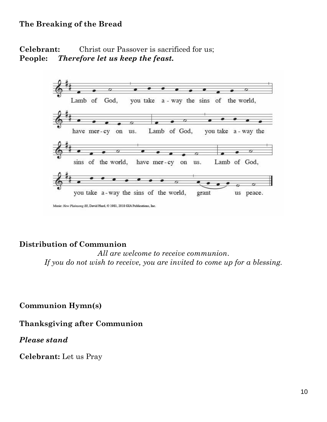#### **The Breaking of the Bread**

#### **Celebrant:** Christ our Passover is sacrificed for us; **People:** *Therefore let us keep the feast.*



#### **Distribution of Communion**

*All are welcome to receive communion*. *If you do not wish to receive, you are invited to come up for a blessing.*

**Communion Hymn(s)**

#### **Thanksgiving after Communion**

#### *Please stand*

**Celebrant:** Let us Pray